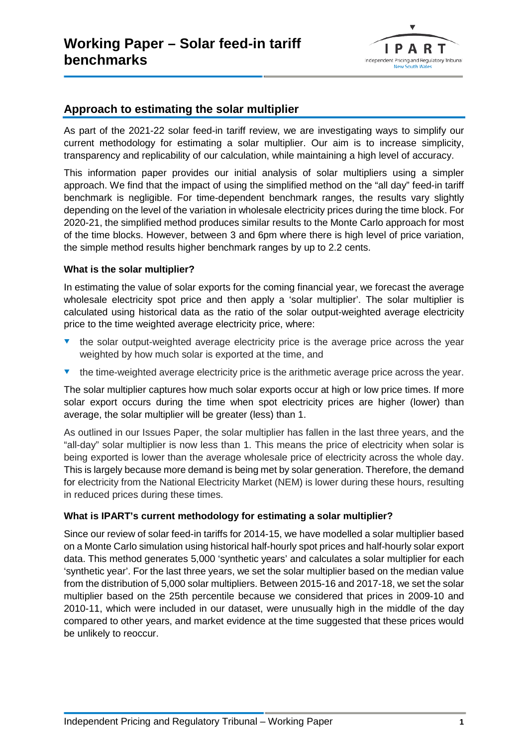

# **Approach to estimating the solar multiplier**

As part of the 2021-22 solar feed-in tariff review, we are investigating ways to simplify our current methodology for estimating a solar multiplier. Our aim is to increase simplicity, transparency and replicability of our calculation, while maintaining a high level of accuracy.

This information paper provides our initial analysis of solar multipliers using a simpler approach. We find that the impact of using the simplified method on the "all day" feed-in tariff benchmark is negligible. For time-dependent benchmark ranges, the results vary slightly depending on the level of the variation in wholesale electricity prices during the time block. For 2020-21, the simplified method produces similar results to the Monte Carlo approach for most of the time blocks. However, between 3 and 6pm where there is high level of price variation, the simple method results higher benchmark ranges by up to 2.2 cents.

## **What is the solar multiplier?**

In estimating the value of solar exports for the coming financial year, we forecast the average wholesale electricity spot price and then apply a 'solar multiplier'. The solar multiplier is calculated using historical data as the ratio of the solar output-weighted average electricity price to the time weighted average electricity price, where:

- the solar output-weighted average electricity price is the average price across the year weighted by how much solar is exported at the time, and
- $\bullet$  the time-weighted average electricity price is the arithmetic average price across the year.

The solar multiplier captures how much solar exports occur at high or low price times. If more solar export occurs during the time when spot electricity prices are higher (lower) than average, the solar multiplier will be greater (less) than 1.

As outlined in our Issues Paper, the solar multiplier has fallen in the last three years, and the "all-day" solar multiplier is now less than 1. This means the price of electricity when solar is being exported is lower than the average wholesale price of electricity across the whole day. This is largely because more demand is being met by solar generation. Therefore, the demand for electricity from the National Electricity Market (NEM) is lower during these hours, resulting in reduced prices during these times.

## **What is IPART's current methodology for estimating a solar multiplier?**

Since our review of solar feed-in tariffs for 2014-15, we have modelled a solar multiplier based on a Monte Carlo simulation using historical half-hourly spot prices and half-hourly solar export data. This method generates 5,000 'synthetic years' and calculates a solar multiplier for each 'synthetic year'. For the last three years, we set the solar multiplier based on the median value from the distribution of 5,000 solar multipliers. Between 2015-16 and 2017-18, we set the solar multiplier based on the 25th percentile because we considered that prices in 2009-10 and 2010-11, which were included in our dataset, were unusually high in the middle of the day compared to other years, and market evidence at the time suggested that these prices would be unlikely to reoccur.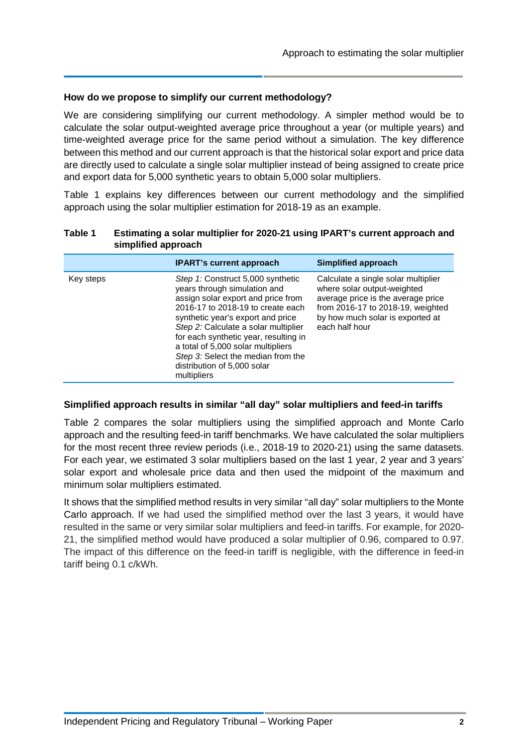## **How do we propose to simplify our current methodology?**

We are considering simplifying our current methodology. A simpler method would be to calculate the solar output-weighted average price throughout a year (or multiple years) and time-weighted average price for the same period without a simulation. The key difference between this method and our current approach is that the historical solar export and price data are directly used to calculate a single solar multiplier instead of being assigned to create price and export data for 5,000 synthetic years to obtain 5,000 solar multipliers.

Table 1 explains key differences between our current methodology and the simplified approach using the solar multiplier estimation for 2018-19 as an example.

|           | <b>IPART's current approach</b>                                                                                                                                                                                                                                                                                                                                                              | Simplified approach                                                                                                                                                                                 |
|-----------|----------------------------------------------------------------------------------------------------------------------------------------------------------------------------------------------------------------------------------------------------------------------------------------------------------------------------------------------------------------------------------------------|-----------------------------------------------------------------------------------------------------------------------------------------------------------------------------------------------------|
| Key steps | Step 1: Construct 5,000 synthetic<br>years through simulation and<br>assign solar export and price from<br>2016-17 to 2018-19 to create each<br>synthetic year's export and price<br>Step 2: Calculate a solar multiplier<br>for each synthetic year, resulting in<br>a total of 5,000 solar multipliers<br>Step 3: Select the median from the<br>distribution of 5,000 solar<br>multipliers | Calculate a single solar multiplier<br>where solar output-weighted<br>average price is the average price<br>from 2016-17 to 2018-19, weighted<br>by how much solar is exported at<br>each half hour |

#### **Table 1 Estimating a solar multiplier for 2020-21 using IPART's current approach and simplified approach**

## **Simplified approach results in similar "all day" solar multipliers and feed-in tariffs**

Table 2 compares the solar multipliers using the simplified approach and Monte Carlo approach and the resulting feed-in tariff benchmarks. We have calculated the solar multipliers for the most recent three review periods (i.e., 2018-19 to 2020-21) using the same datasets. For each year, we estimated 3 solar multipliers based on the last 1 year, 2 year and 3 years' solar export and wholesale price data and then used the midpoint of the maximum and minimum solar multipliers estimated.

It shows that the simplified method results in very similar "all day" solar multipliers to the Monte Carlo approach. If we had used the simplified method over the last 3 years, it would have resulted in the same or very similar solar multipliers and feed-in tariffs. For example, for 2020- 21, the simplified method would have produced a solar multiplier of 0.96, compared to 0.97. The impact of this difference on the feed-in tariff is negligible, with the difference in feed-in tariff being 0.1 c/kWh.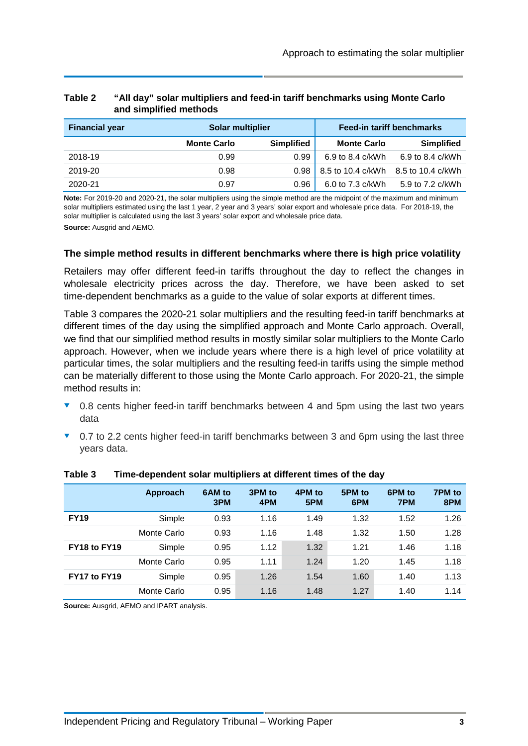| <b>Financial year</b> | Solar multiplier   |                   |                    | <b>Feed-in tariff benchmarks</b> |
|-----------------------|--------------------|-------------------|--------------------|----------------------------------|
|                       | <b>Monte Carlo</b> | <b>Simplified</b> | <b>Monte Carlo</b> | <b>Simplified</b>                |
| 2018-19               | 0.99               | 0.99              | 6.9 to 8.4 c/kWh   | 6.9 to 8.4 c/kWh                 |
| 2019-20               | 0.98               | 0.98              | 8.5 to 10.4 c/kWh  | 8.5 to 10.4 c/kWh                |
| 2020-21               | 0.97               | 0.96              | 6.0 to 7.3 c/kWh   | 5.9 to 7.2 c/kWh                 |

## **Table 2 "All day" solar multipliers and feed-in tariff benchmarks using Monte Carlo and simplified methods**

**Note:** For 2019-20 and 2020-21, the solar multipliers using the simple method are the midpoint of the maximum and minimum solar multipliers estimated using the last 1 year, 2 year and 3 years' solar export and wholesale price data. For 2018-19, the solar multiplier is calculated using the last 3 years' solar export and wholesale price data. **Source:** Ausgrid and AEMO.

# **The simple method results in different benchmarks where there is high price volatility**

Retailers may offer different feed-in tariffs throughout the day to reflect the changes in wholesale electricity prices across the day. Therefore, we have been asked to set time-dependent benchmarks as a guide to the value of solar exports at different times.

Table 3 compares the 2020-21 solar multipliers and the resulting feed-in tariff benchmarks at different times of the day using the simplified approach and Monte Carlo approach. Overall, we find that our simplified method results in mostly similar solar multipliers to the Monte Carlo approach. However, when we include years where there is a high level of price volatility at particular times, the solar multipliers and the resulting feed-in tariffs using the simple method can be materially different to those using the Monte Carlo approach. For 2020-21, the simple method results in:

- ▼ 0.8 cents higher feed-in tariff benchmarks between 4 and 5pm using the last two years data
- ▼ 0.7 to 2.2 cents higher feed-in tariff benchmarks between 3 and 6pm using the last three years data.

|              | Approach    | 6AM to<br>3PM | 3PM to<br>4PM | 4PM to<br>5PM | 5PM to<br>6PM | 6PM to<br>7PM | 7PM to<br>8PM |
|--------------|-------------|---------------|---------------|---------------|---------------|---------------|---------------|
| <b>FY19</b>  | Simple      | 0.93          | 1.16          | 1.49          | 1.32          | 1.52          | 1.26          |
|              | Monte Carlo | 0.93          | 1.16          | 1.48          | 1.32          | 1.50          | 1.28          |
| FY18 to FY19 | Simple      | 0.95          | 1.12          | 1.32          | 1.21          | 1.46          | 1.18          |
|              | Monte Carlo | 0.95          | 1.11          | 1.24          | 1.20          | 1.45          | 1.18          |
| FY17 to FY19 | Simple      | 0.95          | 1.26          | 1.54          | 1.60          | 1.40          | 1.13          |
|              | Monte Carlo | 0.95          | 1.16          | 1.48          | 1.27          | 1.40          | 1.14          |

#### **Table 3 Time-dependent solar multipliers at different times of the day**

**Source:** Ausgrid, AEMO and IPART analysis.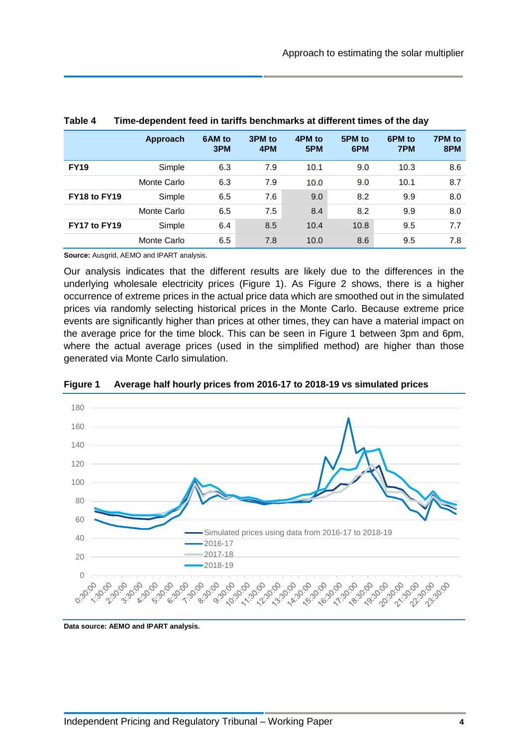|              | Approach    | 6AM to<br>3PM | 3PM to<br>4PM | 4PM to<br>5PM | 5PM to<br>6PM | 6PM to<br>7PM | 7PM to<br>8PM |
|--------------|-------------|---------------|---------------|---------------|---------------|---------------|---------------|
| <b>FY19</b>  | Simple      | 6.3           | 7.9           | 10.1          | 9.0           | 10.3          | 8.6           |
|              | Monte Carlo | 6.3           | 7.9           | 10.0          | 9.0           | 10.1          | 8.7           |
| FY18 to FY19 | Simple      | 6.5           | 7.6           | 9.0           | 8.2           | 9.9           | 8.0           |
|              | Monte Carlo | 6.5           | 7.5           | 8.4           | 8.2           | 9.9           | 8.0           |
| FY17 to FY19 | Simple      | 6.4           | 8.5           | 10.4          | 10.8          | 9.5           | 7.7           |
|              | Monte Carlo | 6.5           | 7.8           | 10.0          | 8.6           | 9.5           | 7.8           |

#### **Table 4 Time-dependent feed in tariffs benchmarks at different times of the day**

**Source:** Ausgrid, AEMO and IPART analysis.

Our analysis indicates that the different results are likely due to the differences in the underlying wholesale electricity prices (Figure 1). As Figure 2 shows, there is a higher occurrence of extreme prices in the actual price data which are smoothed out in the simulated prices via randomly selecting historical prices in the Monte Carlo. Because extreme price events are significantly higher than prices at other times, they can have a material impact on the average price for the time block. This can be seen in Figure 1 between 3pm and 6pm, where the actual average prices (used in the simplified method) are higher than those generated via Monte Carlo simulation.



#### **Figure 1 Average half hourly prices from 2016-17 to 2018-19 vs simulated prices**

**Data source: AEMO and IPART analysis.**